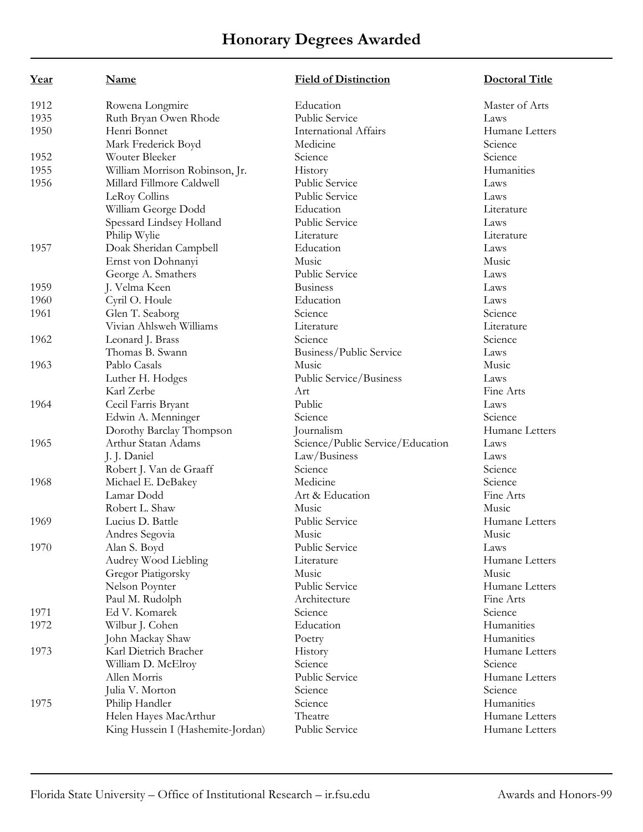| Year | Name                              | <b>Field of Distinction</b>      | <b>Doctoral Title</b> |
|------|-----------------------------------|----------------------------------|-----------------------|
| 1912 | Rowena Longmire                   | Education                        | Master of Arts        |
| 1935 | Ruth Bryan Owen Rhode             | Public Service                   | Laws                  |
| 1950 | Henri Bonnet                      | <b>International Affairs</b>     | Humane Letters        |
|      | Mark Frederick Boyd               | Medicine                         | Science               |
| 1952 | Wouter Bleeker                    | Science                          | Science               |
| 1955 | William Morrison Robinson, Jr.    | History                          | Humanities            |
| 1956 | Millard Fillmore Caldwell         | Public Service                   | Laws                  |
|      | LeRoy Collins                     | Public Service                   | Laws                  |
|      | William George Dodd               | Education                        | Literature            |
|      | Spessard Lindsey Holland          | Public Service                   | Laws                  |
|      | Philip Wylie                      | Literature                       | Literature            |
| 1957 | Doak Sheridan Campbell            | Education                        | Laws                  |
|      | Ernst von Dohnanyi                | Music                            | Music                 |
|      | George A. Smathers                | Public Service                   | Laws                  |
| 1959 | J. Velma Keen                     | <b>Business</b>                  | Laws                  |
| 1960 | Cyril O. Houle                    | Education                        | Laws                  |
| 1961 | Glen T. Seaborg                   | Science                          | Science               |
|      | Vivian Ahlsweh Williams           | Literature                       | Literature            |
| 1962 | Leonard J. Brass                  | Science                          | Science               |
|      | Thomas B. Swann                   | Business/Public Service          | Laws                  |
| 1963 | Pablo Casals                      | Music                            | Music                 |
|      | Luther H. Hodges                  | Public Service/Business          | Laws                  |
|      | Karl Zerbe                        | Art                              | Fine Arts             |
| 1964 | Cecil Farris Bryant               | Public                           | Laws                  |
|      | Edwin A. Menninger                | Science                          | Science               |
|      | Dorothy Barclay Thompson          | Journalism                       | Humane Letters        |
| 1965 | Arthur Statan Adams               | Science/Public Service/Education | Laws                  |
|      | J. J. Daniel                      | Law/Business                     | Laws                  |
|      | Robert J. Van de Graaff           | Science                          | Science               |
| 1968 | Michael E. DeBakey                | Medicine                         | Science               |
|      | Lamar Dodd                        | Art & Education                  | Fine Arts             |
|      | Robert L. Shaw                    | Music                            | Music                 |
| 1969 | Lucius D. Battle                  | Public Service                   | Humane Letters        |
|      | Andres Segovia                    | Music                            | Music                 |
| 1970 | Alan S. Boyd                      | Public Service                   | Laws                  |
|      | Audrey Wood Liebling              | Literature                       | Humane Letters        |
|      | Gregor Piatigorsky                | Music                            | Music                 |
|      | Nelson Poynter                    | Public Service                   | Humane Letters        |
|      | Paul M. Rudolph                   | Architecture                     | Fine Arts             |
| 1971 | Ed V. Komarek                     | Science                          | Science               |
| 1972 | Wilbur J. Cohen                   | Education                        | Humanities            |
|      | John Mackay Shaw                  | Poetry                           | Humanities            |
| 1973 | Karl Dietrich Bracher             | History                          | Humane Letters        |
|      | William D. McElroy                | Science                          | Science               |
|      | Allen Morris                      | Public Service                   | Humane Letters        |
|      | Julia V. Morton                   | Science                          | Science               |
| 1975 | Philip Handler                    | Science                          | Humanities            |
|      | Helen Hayes MacArthur             | Theatre                          | Humane Letters        |
|      | King Hussein I (Hashemite-Jordan) | Public Service                   | Humane Letters        |
|      |                                   |                                  |                       |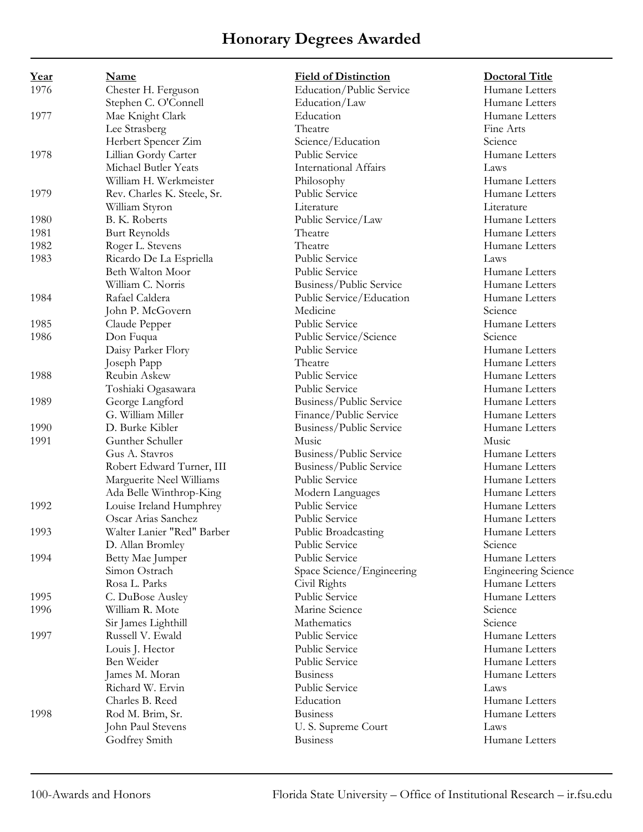| <u>Year</u> | Name                        | <b>Field of Distinction</b>  | <b>Doctoral Title</b>      |
|-------------|-----------------------------|------------------------------|----------------------------|
| 1976        | Chester H. Ferguson         | Education/Public Service     | Humane Letters             |
|             | Stephen C. O'Connell        | Education/Law                | Humane Letters             |
| 1977        | Mae Knight Clark            | Education                    | Humane Letters             |
|             | Lee Strasberg               | Theatre                      | Fine Arts                  |
|             | Herbert Spencer Zim         | Science/Education            | Science                    |
| 1978        | Lillian Gordy Carter        | Public Service               | Humane Letters             |
|             | Michael Butler Yeats        | <b>International Affairs</b> | Laws                       |
|             | William H. Werkmeister      | Philosophy                   | Humane Letters             |
| 1979        | Rev. Charles K. Steele, Sr. | Public Service               | Humane Letters             |
|             | William Styron              | Literature                   | Literature                 |
| 1980        | B. K. Roberts               | Public Service/Law           | Humane Letters             |
| 1981        | <b>Burt Reynolds</b>        | Theatre                      | Humane Letters             |
| 1982        | Roger L. Stevens            | Theatre                      | Humane Letters             |
| 1983        | Ricardo De La Espriella     | Public Service               | Laws                       |
|             | Beth Walton Moor            | Public Service               | Humane Letters             |
|             | William C. Norris           | Business/Public Service      | Humane Letters             |
| 1984        | Rafael Caldera              | Public Service/Education     | Humane Letters             |
|             | John P. McGovern            | Medicine                     | Science                    |
| 1985        | Claude Pepper               | Public Service               | Humane Letters             |
| 1986        | Don Fuqua                   | Public Service/Science       | Science                    |
|             | Daisy Parker Flory          | Public Service               | Humane Letters             |
|             | Joseph Papp                 | Theatre                      | Humane Letters             |
| 1988        | Reubin Askew                | Public Service               | Humane Letters             |
|             | Toshiaki Ogasawara          | Public Service               | Humane Letters             |
| 1989        | George Langford             | Business/Public Service      | Humane Letters             |
|             | G. William Miller           | Finance/Public Service       | Humane Letters             |
| 1990        | D. Burke Kibler             | Business/Public Service      | Humane Letters             |
| 1991        | Gunther Schuller            | Music                        | Music                      |
|             | Gus A. Stavros              | Business/Public Service      | Humane Letters             |
|             | Robert Edward Turner, III   | Business/Public Service      | Humane Letters             |
|             | Marguerite Neel Williams    | Public Service               | Humane Letters             |
|             | Ada Belle Winthrop-King     | Modern Languages             | Humane Letters             |
| 1992        | Louise Ireland Humphrey     | Public Service               | Humane Letters             |
|             | Oscar Arias Sanchez         | Public Service               | Humane Letters             |
| 1993        | Walter Lanier "Red" Barber  | Public Broadcasting          | Humane Letters             |
|             | D. Allan Bromley            | Public Service               | Science                    |
| 1994        | Betty Mae Jumper            | Public Service               | Humane Letters             |
|             | Simon Ostrach               | Space Science/Engineering    | <b>Engineering Science</b> |
|             | Rosa L. Parks               | Civil Rights                 | Humane Letters             |
| 1995        | C. DuBose Ausley            | Public Service               | Humane Letters             |
| 1996        | William R. Mote             | Marine Science               | Science                    |
|             | Sir James Lighthill         | Mathematics                  | Science                    |
| 1997        | Russell V. Ewald            | Public Service               | Humane Letters             |
|             | Louis J. Hector             | Public Service               | Humane Letters             |
|             | Ben Weider                  | Public Service               | Humane Letters             |
|             | James M. Moran              | <b>Business</b>              | Humane Letters             |
|             | Richard W. Ervin            | Public Service               | Laws                       |
|             | Charles B. Reed             | Education                    | Humane Letters             |
| 1998        | Rod M. Brim, Sr.            | <b>Business</b>              | Humane Letters             |
|             | John Paul Stevens           | U. S. Supreme Court          | Laws                       |
|             | Godfrey Smith               | <b>Business</b>              | Humane Letters             |
|             |                             |                              |                            |